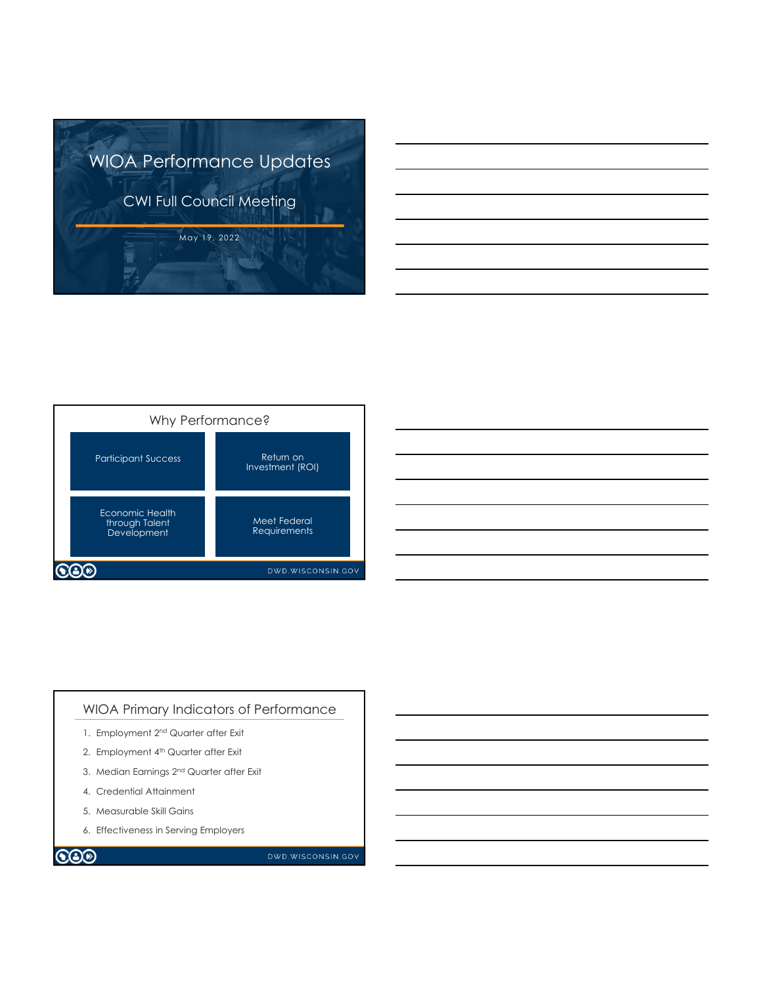





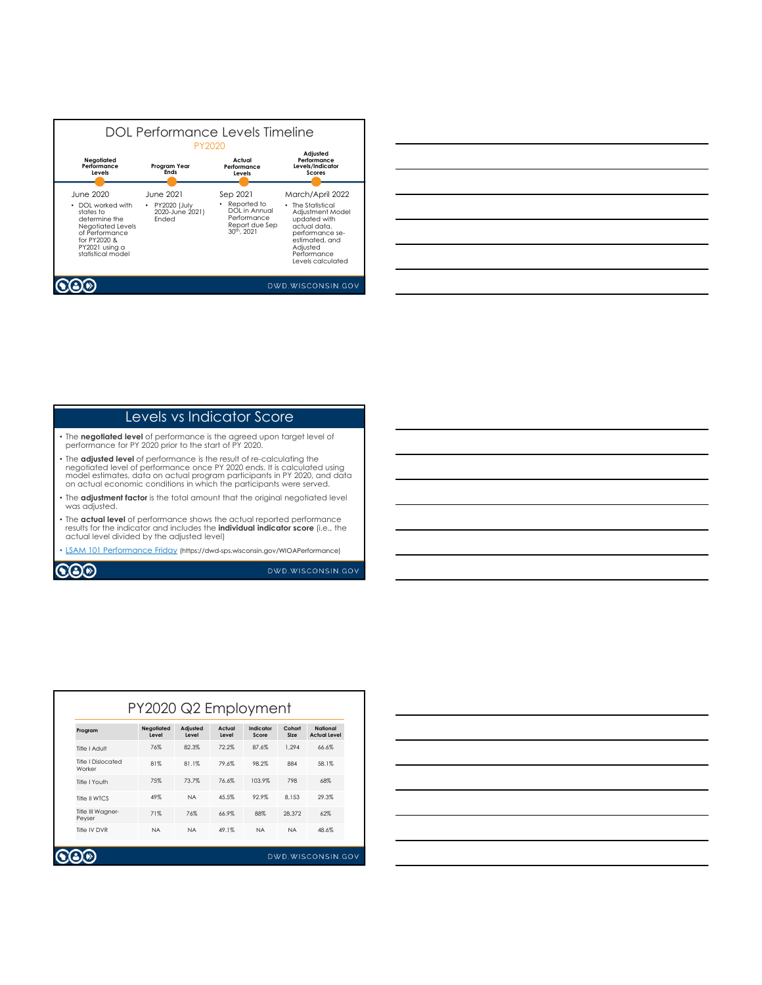|                                                                                                                                                          |                                                                | DOL Performance Levels Timeline<br><b>PY2020</b>                                                     |                                                                                                                                                                                |
|----------------------------------------------------------------------------------------------------------------------------------------------------------|----------------------------------------------------------------|------------------------------------------------------------------------------------------------------|--------------------------------------------------------------------------------------------------------------------------------------------------------------------------------|
| Negotiated<br>Performance<br>Levels                                                                                                                      | Program Year<br><b>Ends</b>                                    | Actual<br>Performance<br>Levels                                                                      | Adjusted<br>Performance<br>Levels/Indicator<br><b>Scores</b>                                                                                                                   |
| June 2020<br>DOI worked with<br>states to<br>determine the<br>Negotiated Levels<br>of Performance<br>for PY2020 &<br>PY2021 usina a<br>statistical model | June 2021<br>• PY2020 (July<br>2020-June 2021)<br><b>Fnded</b> | Sep 2021<br>Reported to<br>DOI in Annual<br>Performance<br>Report due Sep<br>30 <sup>th</sup> , 2021 | March/April 2022<br>• The Statistical<br>Adjustment Model<br>updated with<br>actual data.<br>performance se-<br>estimated, and<br>Adiusted<br>Performance<br>Levels calculated |
|                                                                                                                                                          |                                                                |                                                                                                      | DWD.WISCONSIN.GOV                                                                                                                                                              |

| <u> 1989 - Johann Stoff, deutscher Stoff, der Stoff, der Stoff, der Stoff, der Stoff, der Stoff, der Stoff, der S</u> |  |  |
|-----------------------------------------------------------------------------------------------------------------------|--|--|
| <u> 1989 - Johann Stoff, amerikansk politiker (d. 1989)</u>                                                           |  |  |
| <u> 1989 - Andrea Andrew Maria (h. 1989).</u>                                                                         |  |  |
| <u> 1989 - Andrea Santa Andrea Andrea Andrea Andrea Andrea Andrea Andrea Andrea Andrea Andrea Andrea Andrea Andr</u>  |  |  |
| <u> 1989 - Johann Stoff, amerikansk politiker (d. 1989)</u>                                                           |  |  |
| <u> 1989 - Johann Stoff, amerikansk politiker (d. 1989)</u>                                                           |  |  |
|                                                                                                                       |  |  |

## Levels vs Indicator Score

- The **negotiated level** of performance is the agreed upon target level of performance for PY 2020 prior to the start of PY 2020.
- The **adjusted level** of performance is the result of re-calculating the<br>negotiated level of performance once PY 2020 ends. It is calculated using<br>model estimates, data on actual program participants in PY 2020, and data<br>
- The **adjustment factor** is the total amount that the original negotiated level was adjusted.
- The **actual level** of performance shows the actual reported performance results for the indicator and includes the **individual indicator score** (i.e., the actual level divided by the adjusted level)
- LSAM 101 Performance Friday (https://dwd-sps.wisconsin.gov/WIOAPerformance)

**COD** 

DWD.WISCONSIN.GOV

| Program                      | Negotiated<br>Level | Adjusted<br>Level | Actual<br>Level | Indicator<br>Score | Cohort<br>Size | National<br><b>Actual Level</b> |
|------------------------------|---------------------|-------------------|-----------------|--------------------|----------------|---------------------------------|
| Title I Adult                | 76%                 | 82.3%             | 72.2%           | 87.6%              | 1.294          | 66.6%                           |
| Title I Dislocated<br>Worker | 81%                 | 81.1%             | 79.6%           | 98.2%              | 884            | 58.1%                           |
| Title I Youth                | 75%                 | 73.7%             | 76.6%           | 103.9%             | 798            | 68%                             |
| Title II WTCS                | 49%                 | <b>NA</b>         | 45.5%           | 92.9%              | 8.153          | 29.3%                           |
| Title III Wagner-<br>Peyser  | 71%                 | 76%               | 66.9%           | 88%                | 28.372         | 62%                             |
| Title IV DVR                 | <b>NA</b>           | <b>NA</b>         | 49.1%           | <b>NA</b>          | <b>NA</b>      | 48.6%                           |

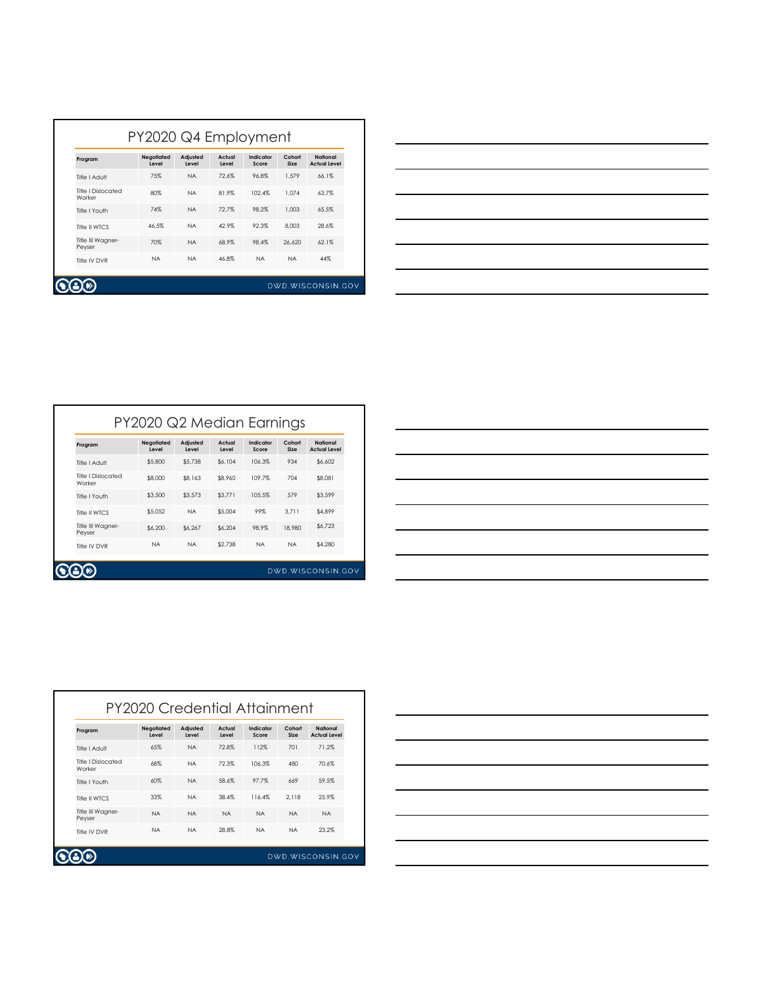| Program                             | Negotiated<br>Level | Adjusted<br>Level | Actual<br>Level | Indicator<br>Score | Cohort<br>Size | National<br><b>Actual Level</b> |
|-------------------------------------|---------------------|-------------------|-----------------|--------------------|----------------|---------------------------------|
| Title I Adult                       | 75%                 | <b>NA</b>         | 72.6%           | 96.8%              | 1.579          | 66.1%                           |
| <b>Title I Dislocated</b><br>Worker | 80%                 | <b>NA</b>         | 81.9%           | 102.4%             | 1.074          | 63.7%                           |
| Title I Youth                       | 74%                 | <b>NA</b>         | 72.7%           | 98.2%              | 1.003          | 65.5%                           |
| Title II WTCS                       | 46.5%               | <b>NA</b>         | 42.9%           | 92.3%              | 8.003          | 28.6%                           |
| Title III Wagner-<br>Peyser         | 70%                 | <b>NA</b>         | 68.9%           | 98.4%              | 26.620         | 62.1%                           |
| Title IV DVR                        | <b>NA</b>           | <b>NA</b>         | 46.8%           | <b>NA</b>          | <b>NA</b>      | 44%                             |



| Program                      | <b>Negotiated</b><br>Level | Adjusted<br>Level | Actual<br>Level | Indicator<br>Score | Cohort<br>Size | National<br><b>Actual Level</b> |
|------------------------------|----------------------------|-------------------|-----------------|--------------------|----------------|---------------------------------|
| Title I Adult                | \$5,800                    | \$5,738           | \$6,104         | 106.3%             | 934            | \$6,602                         |
| Title I Dislocated<br>Worker | \$8,000                    | \$8.163           | \$8,960         | 109.7%             | 704            | \$8,081                         |
| Title I Youth                | \$3,500                    | \$3.573           | \$3,771         | 105.5%             | 579            | \$3.599                         |
| Title II WTCS                | \$5,052                    | <b>NA</b>         | \$5.004         | 99%                | 3.711          | \$4.899                         |
| Title III Wagner-<br>Peyser  | \$6,200                    | \$6,267           | \$6.204         | 98.9%              | 18,980         | \$6.723                         |
| Title IV DVR                 | <b>NA</b>                  | <b>NA</b>         | \$2,738         | <b>NA</b>          | <b>NA</b>      | \$4,280                         |

| $\overline{\phantom{a}}$ |                                                             |  |
|--------------------------|-------------------------------------------------------------|--|
|                          |                                                             |  |
|                          |                                                             |  |
| $\overline{\phantom{a}}$ |                                                             |  |
| $\overline{\phantom{a}}$ |                                                             |  |
|                          |                                                             |  |
|                          |                                                             |  |
| ___                      |                                                             |  |
|                          | the control of the control of the control of the control of |  |

| Program                             | Negotiated | Adjusted  | Actual    | Indicator | Cohort    | National            |
|-------------------------------------|------------|-----------|-----------|-----------|-----------|---------------------|
|                                     | Level      | Level     | Level     | Score     | Size      | <b>Actual Level</b> |
| Title I Adult                       | 65%        | <b>NA</b> | 72.8%     | 112%      | 701       | 71.2%               |
| <b>Title I Dislocated</b><br>Worker | 68%        | <b>NA</b> | 72.3%     | 106.3%    | 480       | 70.6%               |
| Title I Youth                       | 60%        | <b>NA</b> | 58.6%     | 97.7%     | 669       | 59.5%               |
| Title II WTCS                       | 33%        | <b>NA</b> | 38.4%     | 116.4%    | 2.118     | 25.9%               |
| Title III Wagner-<br>Peyser         | <b>NA</b>  | <b>NA</b> | <b>NA</b> | <b>NA</b> | <b>NA</b> | <b>NA</b>           |
| Title IV DVR                        | <b>NA</b>  | <b>NA</b> | 28.8%     | <b>NA</b> | <b>NA</b> | 23.2%               |

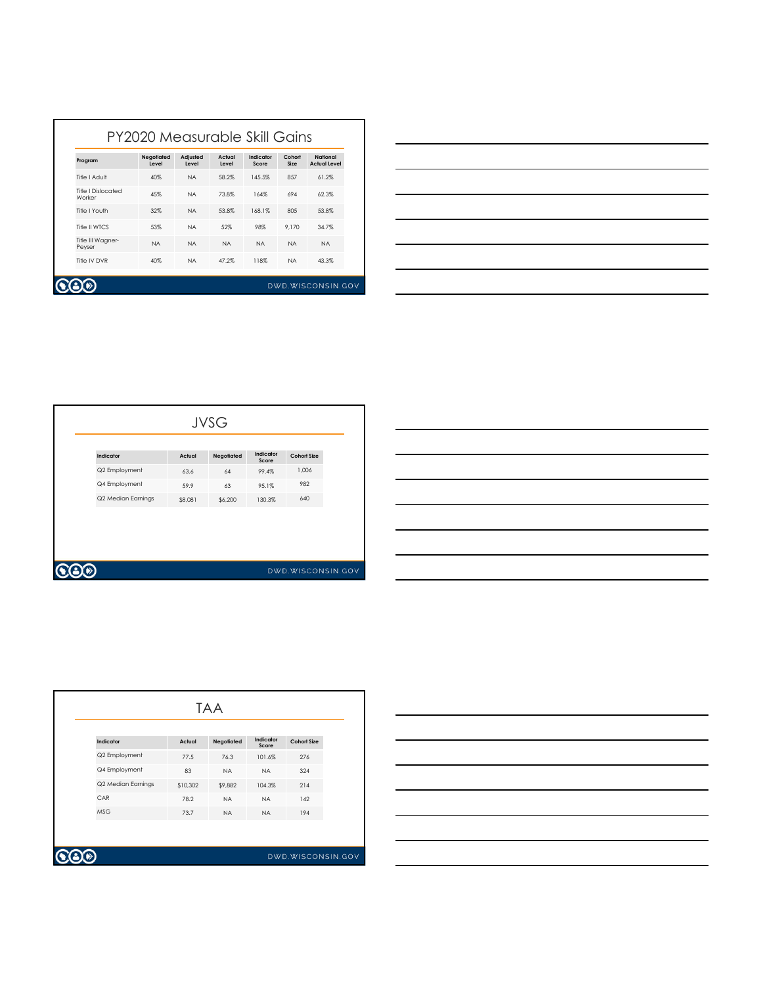| Program                      | <b>Negotiated</b><br>Level | Adjusted<br>Level | Actual<br>Level | Indicator<br>Score | Cohort<br>Size | National<br><b>Actual Level</b> |
|------------------------------|----------------------------|-------------------|-----------------|--------------------|----------------|---------------------------------|
| Title I Adult                | 40%                        | <b>NA</b>         | 58.2%           | 145.5%             | 857            | 61.2%                           |
| Title I Dislocated<br>Worker | 45%                        | <b>NA</b>         | 73.8%           | 164%               | 694            | 62.3%                           |
| Title I Youth                | 32%                        | <b>NA</b>         | 53.8%           | 168.1%             | 80.5           | 53.8%                           |
| Title II WTCS                | 53%                        | <b>NA</b>         | 52%             | 98%                | 9.170          | 34.7%                           |
| Title III Wagner-<br>Peyser  | <b>NA</b>                  | <b>NA</b>         | <b>NA</b>       | <b>NA</b>          | <b>NA</b>      | <b>NA</b>                       |
| Title IV DVR                 | 40%                        | <b>NA</b>         | 47.2%           | 118%               | <b>NA</b>      | 43.3%                           |



| <b>JVSG</b>        |         |            |                    |                    |  |  |  |  |
|--------------------|---------|------------|--------------------|--------------------|--|--|--|--|
| Indicator          | Actual  | Negotiated | Indicator<br>Score | <b>Cohort Size</b> |  |  |  |  |
| Q2 Employment      | 63.6    | 64         | 99.4%              | 1,006              |  |  |  |  |
| Q4 Employment      | 59.9    | 63         | 95.1%              | 982                |  |  |  |  |
| Q2 Median Earnings | \$8,081 | \$6,200    | 130.3%             | 640                |  |  |  |  |

| <b>VO</b> |  |
|-----------|--|

|                    | <b>TAA</b> |            |                    |                    |  |  |  |  |
|--------------------|------------|------------|--------------------|--------------------|--|--|--|--|
| Indicator          | Actual     | Negotiated | Indicator<br>Score | <b>Cohort Size</b> |  |  |  |  |
| Q2 Employment      | 77.5       | 76.3       | 101.6%             | 276                |  |  |  |  |
| Q4 Employment      | 83         | <b>NA</b>  | <b>NA</b>          | 324                |  |  |  |  |
| Q2 Median Earnings | \$10,302   | \$9,882    | 104.3%             | 214                |  |  |  |  |
| CAR                | 78.2       | <b>NA</b>  | <b>NA</b>          | 142                |  |  |  |  |
| <b>MSG</b>         | 73.7       | <b>NA</b>  | <b>NA</b>          | 194                |  |  |  |  |
|                    |            |            |                    |                    |  |  |  |  |
|                    |            |            |                    |                    |  |  |  |  |
|                    |            |            |                    | DWD.WISCONSIN.GOV  |  |  |  |  |

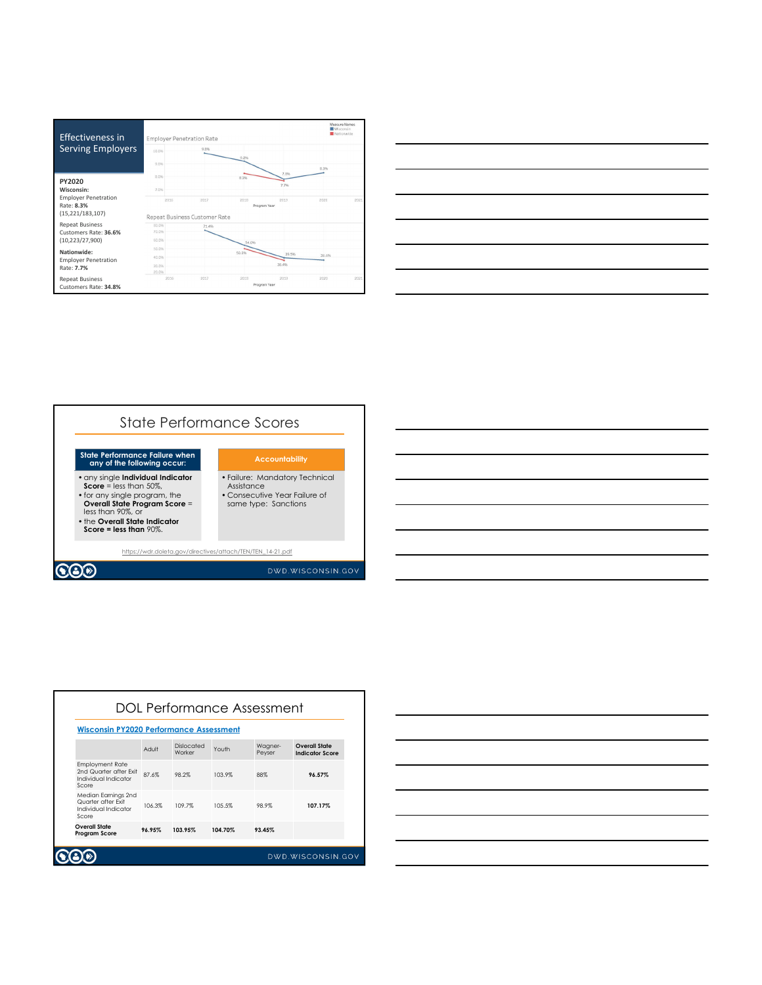





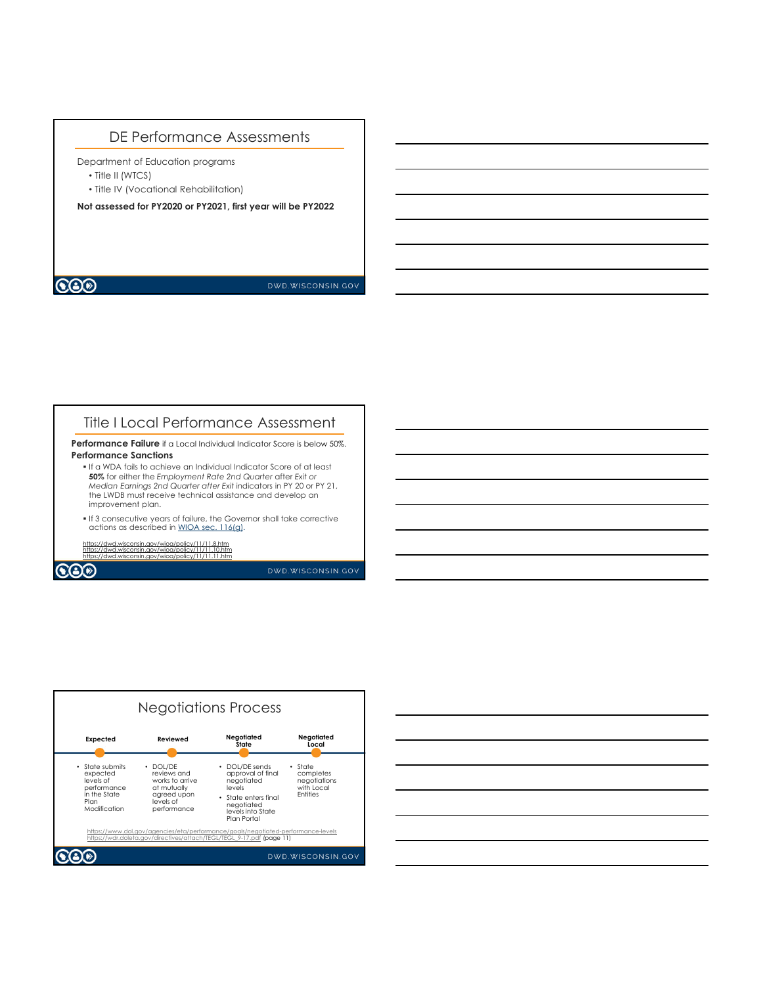## DE Performance Assessments

Department of Education programs

- Title II (WTCS)
- Title IV (Vocational Rehabilitation)

**Not assessed for PY2020 or PY2021, first year will be PY2022** 

 $\bigcircledS$ 

DWD.WISCONSIN.GOV

## Title I Local Performance Assessment

**Performance Failure** if a Local Individual Indicator Score is below 50%. **Performance Sanctions**

- If a WDA fails to achieve an Individual Indicator Score of at least **50%** for either the *Employment Rate 2nd Quarter* after *Exit or Median Earnings 2nd Quarter after Exit* indicators in PY 20 or PY 21, the LWDB must receive technical assistance and develop an improvement plan.
- If 3 consecutive years of failure, the Governor shall take corrective actions as described in WIOA sec.  $116(g)$ .

 $y/11/11.11.$ ht

https://dwd.wisconsin.gov/wioa/policy/11/11.8.htm https://dwd.wisconsin.gov/wioa/policy/11/11.10.htm

 $\bigcircledS$ 

DWD.WISCONSIN.GOV